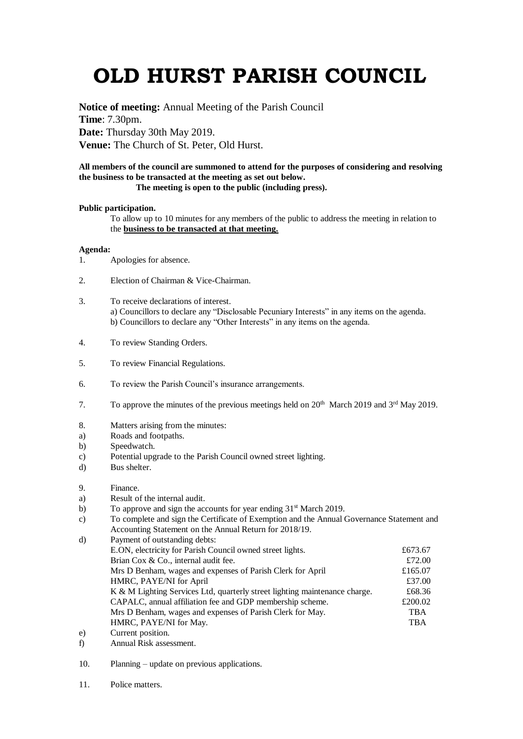# **OLD HURST PARISH COUNCIL**

**Notice of meeting:** Annual Meeting of the Parish Council **Time**: 7.30pm. **Date:** Thursday 30th May 2019. **Venue:** The Church of St. Peter, Old Hurst.

## **All members of the council are summoned to attend for the purposes of considering and resolving the business to be transacted at the meeting as set out below.**

## **The meeting is open to the public (including press).**

### **Public participation.**

To allow up to 10 minutes for any members of the public to address the meeting in relation to the **business to be transacted at that meeting.** 

### **Agenda:**

- 1. Apologies for absence.
- 2. Election of Chairman & Vice-Chairman.
- 3. To receive declarations of interest. a) Councillors to declare any "Disclosable Pecuniary Interests" in any items on the agenda. b) Councillors to declare any "Other Interests" in any items on the agenda.
- 4. To review Standing Orders.
- 5. To review Financial Regulations.
- 6. To review the Parish Council's insurance arrangements.
- 7. To approve the minutes of the previous meetings held on  $20<sup>th</sup>$  March 2019 and  $3<sup>rd</sup>$  May 2019.
- 8. Matters arising from the minutes:
- a) Roads and footpaths.
- b) Speedwatch.
- c) Potential upgrade to the Parish Council owned street lighting.
- d) Bus shelter.
- 9. Finance.
- a) Result of the internal audit.
- b) To approve and sign the accounts for year ending 31<sup>st</sup> March 2019.
- c) To complete and sign the Certificate of Exemption and the Annual Governance Statement and Accounting Statement on the Annual Return for 2018/19.

| d) | Payment of outstanding debts:                                              |            |
|----|----------------------------------------------------------------------------|------------|
|    | E.ON, electricity for Parish Council owned street lights.                  | £673.67    |
|    | Brian Cox & Co., internal audit fee.                                       | £72.00     |
|    | Mrs D Benham, wages and expenses of Parish Clerk for April                 | £165.07    |
|    | HMRC, PAYE/NI for April                                                    | £37.00     |
|    | K & M Lighting Services Ltd, quarterly street lighting maintenance charge. | £68.36     |
|    | CAPALC, annual affiliation fee and GDP membership scheme.                  | £200.02    |
|    | Mrs D Benham, wages and expenses of Parish Clerk for May.                  | <b>TBA</b> |
|    | HMRC, PAYE/NI for May.                                                     | <b>TBA</b> |
| e) | Current position.                                                          |            |
|    |                                                                            |            |

- f) Annual Risk assessment.
- 10. Planning update on previous applications.
- 11. Police matters.